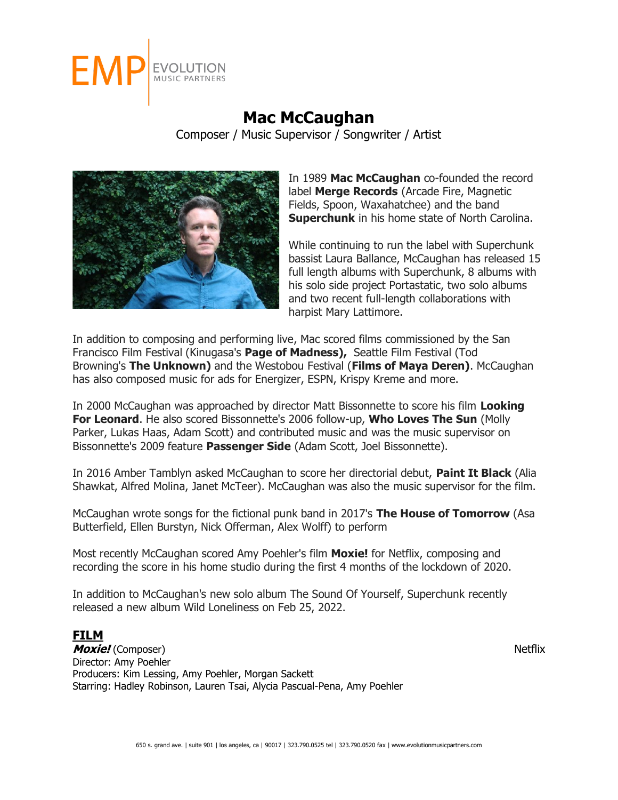

## **Mac McCaughan** Composer / Music Supervisor / Songwriter / Artist



In 1989 **Mac McCaughan** co-founded the record label **Merge Records** (Arcade Fire, Magnetic Fields, Spoon, Waxahatchee) and the band **Superchunk** in his home state of North Carolina.

While continuing to run the label with Superchunk bassist Laura Ballance, McCaughan has released 15 full length albums with Superchunk, 8 albums with his solo side project Portastatic, two solo albums and two recent full-length collaborations with harpist Mary Lattimore.

In addition to composing and performing live, Mac scored films commissioned by the San Francisco Film Festival (Kinugasa's **Page of Madness),** Seattle Film Festival (Tod Browning's **The Unknown)** and the Westobou Festival (**Films of Maya Deren)**. McCaughan has also composed music for ads for Energizer, ESPN, Krispy Kreme and more.

In 2000 McCaughan was approached by director Matt Bissonnette to score his film **Looking For Leonard**. He also scored Bissonnette's 2006 follow-up, **Who Loves The Sun** (Molly Parker, Lukas Haas, Adam Scott) and contributed music and was the music supervisor on Bissonnette's 2009 feature **Passenger Side** (Adam Scott, Joel Bissonnette).

In 2016 Amber Tamblyn asked McCaughan to score her directorial debut, **Paint It Black** (Alia Shawkat, Alfred Molina, Janet McTeer). McCaughan was also the music supervisor for the film.

McCaughan wrote songs for the fictional punk band in 2017's **The House of Tomorrow** (Asa Butterfield, Ellen Burstyn, Nick Offerman, Alex Wolff) to perform

Most recently McCaughan scored Amy Poehler's film **Moxie!** for Netflix, composing and recording the score in his home studio during the first 4 months of the lockdown of 2020.

In addition to McCaughan's new solo album The Sound Of Yourself, Superchunk recently released a new album Wild Loneliness on Feb 25, 2022.

## **FILM**

**Moxie!** (Composer)Netflix Director: Amy Poehler Producers: Kim Lessing, Amy Poehler, Morgan Sackett Starring: Hadley Robinson, Lauren Tsai, Alycia Pascual-Pena, Amy Poehler